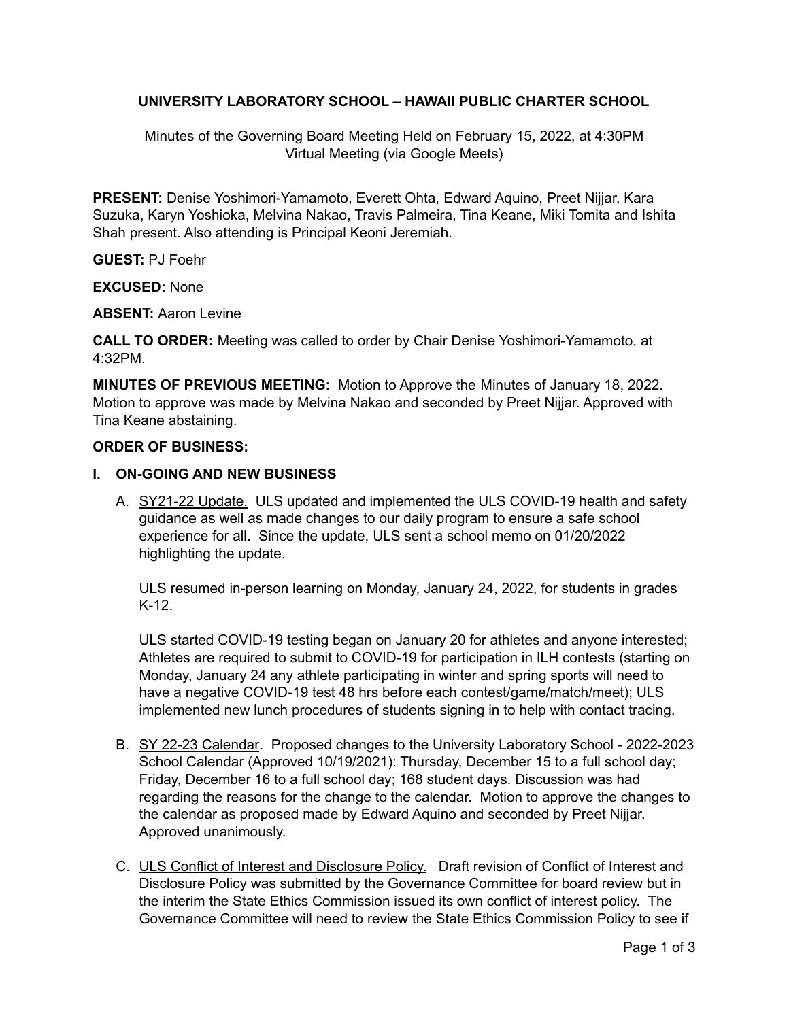## **UNIVERSITY LABORATORY SCHOOL – HAWAII PUBLIC CHARTER SCHOOL**

Minutes of the Governing Board Meeting Held on February 15, 2022, at 4:30PM Virtual Meeting (via Google Meets)

**PRESENT:** Denise Yoshimori-Yamamoto, Everett Ohta, Edward Aquino, Preet Nijjar, Kara Suzuka, Karyn Yoshioka, Melvina Nakao, Travis Palmeira, Tina Keane, Miki Tomita and Ishita Shah present. Also attending is Principal Keoni Jeremiah.

**GUEST:** PJ Foehr

**EXCUSED:** None

**ABSENT:** Aaron Levine

**CALL TO ORDER:** Meeting was called to order by Chair Denise Yoshimori-Yamamoto, at 4:32PM.

**MINUTES OF PREVIOUS MEETING:** Motion to Approve the Minutes of January 18, 2022. Motion to approve was made by Melvina Nakao and seconded by Preet Nijjar. Approved with Tina Keane abstaining.

### **ORDER OF BUSINESS:**

### **I. ON-GOING AND NEW BUSINESS**

A. SY21-22 Update. ULS updated and implemented the ULS COVID-19 health and safety guidance as well as made changes to our daily program to ensure a safe school experience for all. Since the update, ULS sent a school memo on 01/20/2022 highlighting the update.

ULS resumed in-person learning on Monday, January 24, 2022, for students in grades K-12.

ULS started COVID-19 testing began on January 20 for athletes and anyone interested; Athletes are required to submit to COVID-19 for participation in ILH contests (starting on Monday, January 24 any athlete participating in winter and spring sports will need to have a negative COVID-19 test 48 hrs before each contest/game/match/meet); ULS implemented new lunch procedures of students signing in to help with contact tracing.

- B. SY 22-23 Calendar. Proposed changes to the University Laboratory School 2022-2023 School Calendar (Approved 10/19/2021): Thursday, December 15 to a full school day; Friday, December 16 to a full school day; 168 student days. Discussion was had regarding the reasons for the change to the calendar. Motion to approve the changes to the calendar as proposed made by Edward Aquino and seconded by Preet Nijjar. Approved unanimously.
- C. ULS Conflict of Interest and Disclosure Policy. Draft revision of Conflict of Interest and Disclosure Policy was submitted by the Governance Committee for board review but in the interim the State Ethics Commission issued its own conflict of interest policy. The Governance Committee will need to review the State Ethics Commission Policy to see if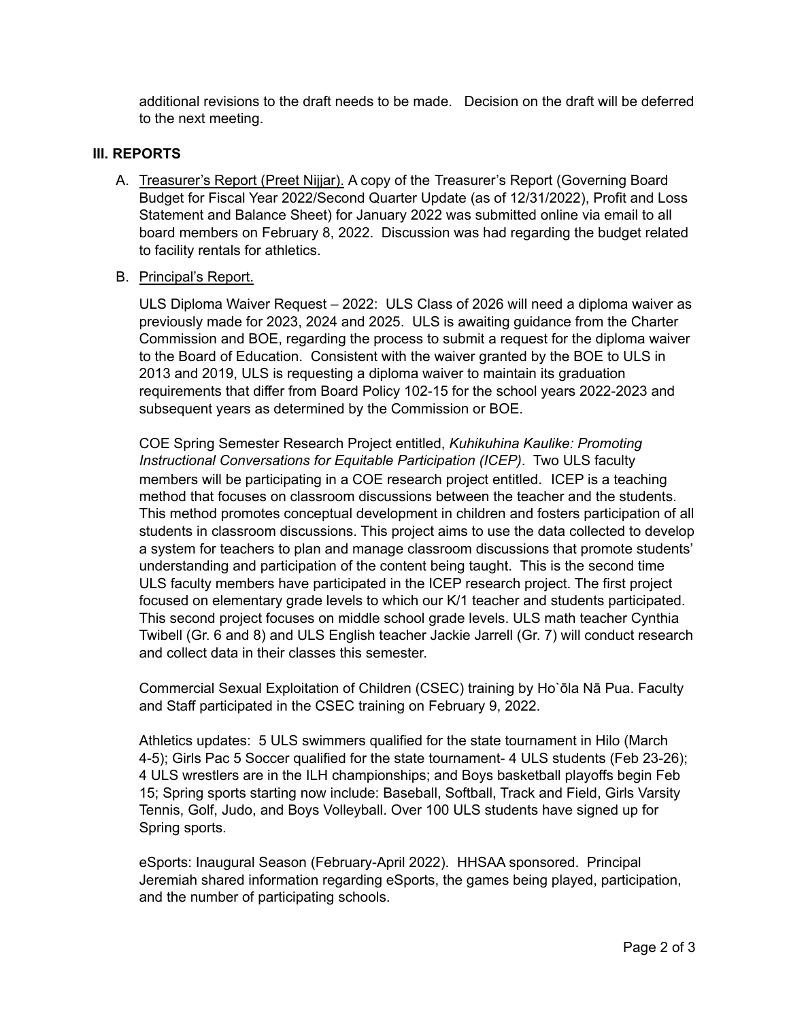additional revisions to the draft needs to be made. Decision on the draft will be deferred to the next meeting.

### **III. REPORTS**

A. Treasurer's Report (Preet Nijjar). A copy of the Treasurer's Report (Governing Board Budget for Fiscal Year 2022/Second Quarter Update (as of 12/31/2022), Profit and Loss Statement and Balance Sheet) for January 2022 was submitted online via email to all board members on February 8, 2022. Discussion was had regarding the budget related to facility rentals for athletics.

#### B. Principal's Report.

ULS Diploma Waiver Request – 2022: ULS Class of 2026 will need a diploma waiver as previously made for 2023, 2024 and 2025. ULS is awaiting guidance from the Charter Commission and BOE, regarding the process to submit a request for the diploma waiver to the Board of Education. Consistent with the waiver granted by the BOE to ULS in 2013 and 2019, ULS is requesting a diploma waiver to maintain its graduation requirements that differ from Board Policy 102-15 for the school years 2022-2023 and subsequent years as determined by the Commission or BOE.

COE Spring Semester Research Project entitled, *Kuhikuhina Kaulike: Promoting Instructional Conversations for Equitable Participation (ICEP)*. Two ULS faculty members will be participating in a COE research project entitled. ICEP is a teaching method that focuses on classroom discussions between the teacher and the students. This method promotes conceptual development in children and fosters participation of all students in classroom discussions. This project aims to use the data collected to develop a system for teachers to plan and manage classroom discussions that promote students' understanding and participation of the content being taught. This is the second time ULS faculty members have participated in the ICEP research project. The first project focused on elementary grade levels to which our K/1 teacher and students participated. This second project focuses on middle school grade levels. ULS math teacher Cynthia Twibell (Gr. 6 and 8) and ULS English teacher Jackie Jarrell (Gr. 7) will conduct research and collect data in their classes this semester.

Commercial Sexual Exploitation of Children (CSEC) training by Ho`ōla Nā Pua. Faculty and Staff participated in the CSEC training on February 9, 2022.

Athletics updates: 5 ULS swimmers qualified for the state tournament in Hilo (March 4-5); Girls Pac 5 Soccer qualified for the state tournament- 4 ULS students (Feb 23-26); 4 ULS wrestlers are in the ILH championships; and Boys basketball playoffs begin Feb 15; Spring sports starting now include: Baseball, Softball, Track and Field, Girls Varsity Tennis, Golf, Judo, and Boys Volleyball. Over 100 ULS students have signed up for Spring sports.

eSports: Inaugural Season (February-April 2022). HHSAA sponsored. Principal Jeremiah shared information regarding eSports, the games being played, participation, and the number of participating schools.